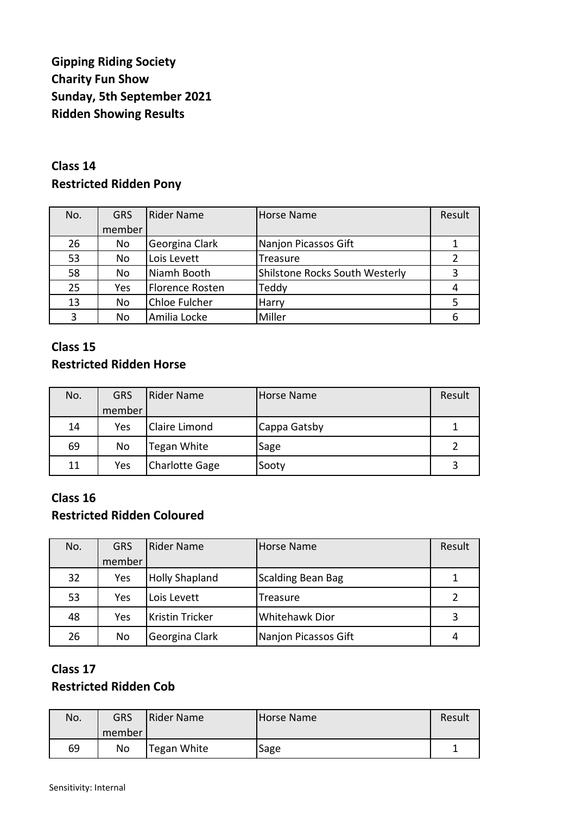# **Gipping Riding Society Charity Fun Show Sunday, 5th September 2021 Ridden Showing Results**

### **Class 14 Restricted Ridden Pony**

| No. | <b>GRS</b> | Rider Name      | <b>Horse Name</b>              | Result |
|-----|------------|-----------------|--------------------------------|--------|
|     | member     |                 |                                |        |
| 26  | No         | Georgina Clark  | Nanjon Picassos Gift           |        |
| 53  | No         | Lois Levett     | Treasure                       | 2      |
| 58  | No         | Niamh Booth     | Shilstone Rocks South Westerly | 3      |
| 25  | Yes        | Florence Rosten | Teddy                          | 4      |
| 13  | No         | Chloe Fulcher   | Harry                          | 5      |
| 3   | <b>No</b>  | Amilia Locke    | Miller                         | 6      |

#### **Class 15 Restricted Ridden Horse**

| No. | <b>GRS</b> | Rider Name            | Horse Name   | Result |
|-----|------------|-----------------------|--------------|--------|
|     | member     |                       |              |        |
| 14  | Yes        | <b>Claire Limond</b>  | Cappa Gatsby |        |
| 69  | No         | Tegan White           | Sage         |        |
| 11  | Yes        | <b>Charlotte Gage</b> | Sooty        |        |

#### **Class 16 Restricted Ridden Coloured**

| No. | <b>GRS</b> | Rider Name             | <b>Horse Name</b>        | Result        |
|-----|------------|------------------------|--------------------------|---------------|
|     | member     |                        |                          |               |
| 32  | Yes        | <b>Holly Shapland</b>  | <b>Scalding Bean Bag</b> |               |
| 53  | Yes        | Lois Levett            | Treasure                 | $\mathcal{P}$ |
| 48  | Yes        | <b>Kristin Tricker</b> | <b>Whitehawk Dior</b>    | 3             |
| 26  | No         | Georgina Clark         | Nanjon Picassos Gift     |               |

# **Class 17**

#### **Restricted Ridden Cob**

| No. | GRS<br>member | Rider Name  | Horse Name | Result |
|-----|---------------|-------------|------------|--------|
| 69  | No            | Tegan White | Sage       |        |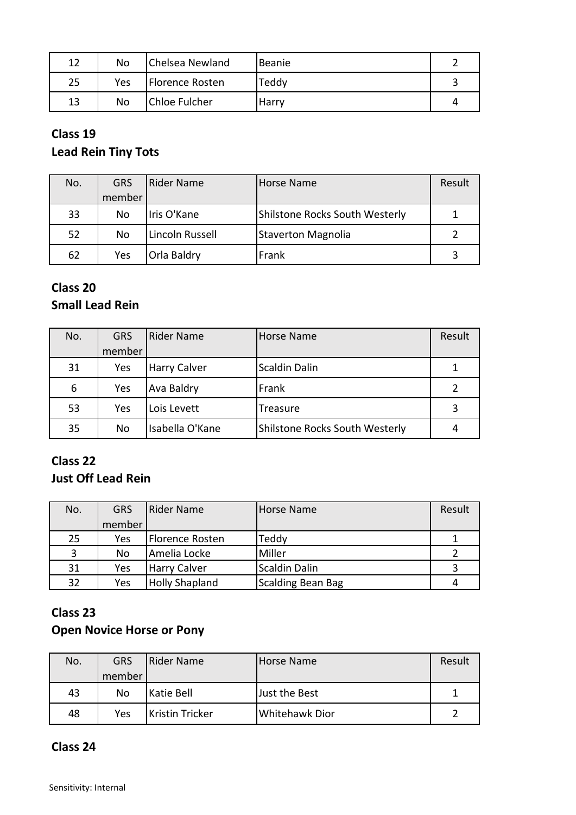| 12 | No  | Chelsea Newland      | Beanie |  |
|----|-----|----------------------|--------|--|
| 25 | Yes | Florence Rosten      | Teddy  |  |
| 13 | No  | <b>Chloe Fulcher</b> | Harry  |  |

#### **Class 19**

# **Lead Rein Tiny Tots**

| No. | <b>GRS</b> | Rider Name         | Horse Name                     | Result |
|-----|------------|--------------------|--------------------------------|--------|
|     | member     |                    |                                |        |
| 33  | No         | Iris O'Kane        | Shilstone Rocks South Westerly |        |
| 52  | No         | Lincoln Russell    | <b>Staverton Magnolia</b>      |        |
| 62  | Yes        | <b>Orla Baldry</b> | Frank                          |        |

## **Class 20 Small Lead Rein**

| No. | <b>GRS</b> | Rider Name          | Horse Name                     | Result |
|-----|------------|---------------------|--------------------------------|--------|
|     | member     |                     |                                |        |
| 31  | Yes        | <b>Harry Calver</b> | <b>Scaldin Dalin</b>           |        |
| 6   | Yes        | Ava Baldry          | Frank                          |        |
| 53  | Yes        | Lois Levett         | Treasure                       | 3      |
| 35  | No         | Isabella O'Kane     | Shilstone Rocks South Westerly |        |

## **Class 22**

### **Just Off Lead Rein**

| No. | <b>GRS</b> | <b>IRider Name</b>    | Horse Name               | Result |
|-----|------------|-----------------------|--------------------------|--------|
|     | member     |                       |                          |        |
| 25  | Yes        | Florence Rosten       | Teddy                    |        |
| 3   | No         | Amelia Locke          | Miller                   |        |
| 31  | Yes        | <b>Harry Calver</b>   | <b>Scaldin Dalin</b>     |        |
| 32  | Yes        | <b>Holly Shapland</b> | <b>Scalding Bean Bag</b> |        |

# **Class 23**

### **Open Novice Horse or Pony**

| No. | <b>GRS</b> | Rider Name             | Horse Name     | Result |
|-----|------------|------------------------|----------------|--------|
|     | member     |                        |                |        |
| 43  | No         | <b>Katie Bell</b>      | Just the Best  |        |
| 48  | Yes        | <b>Kristin Tricker</b> | Whitehawk Dior |        |

#### **Class 24**